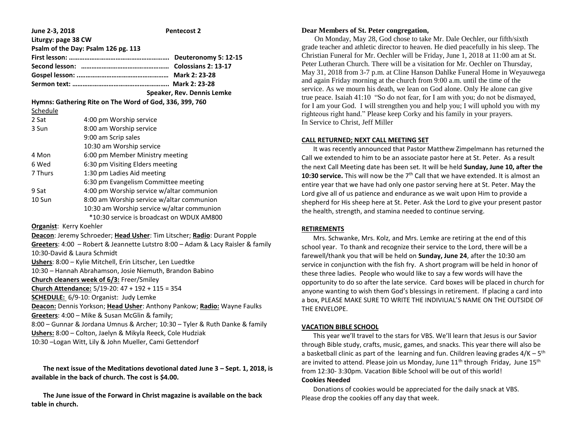| June 2-3, 2018                                          | <b>Pentecost 2</b>                         |
|---------------------------------------------------------|--------------------------------------------|
| Liturgy: page 38 CW                                     |                                            |
|                                                         | Psalm of the Day: Psalm 126 pg. 113        |
|                                                         |                                            |
|                                                         |                                            |
|                                                         |                                            |
|                                                         |                                            |
|                                                         | Speaker, Rev. Dennis Lemke                 |
| Hymns: Gathering Rite on The Word of God, 336, 399, 760 |                                            |
| Schedule                                                |                                            |
| 2 Sat                                                   | 4:00 pm Worship service                    |
| 3 Sun                                                   | 8:00 am Worship service                    |
|                                                         | 9:00 am Scrip sales                        |
|                                                         | 10:30 am Worship service                   |
| 4 Mon                                                   | 6:00 pm Member Ministry meeting            |
| 6 Wed                                                   | 6:30 pm Visiting Elders meeting            |
| 7 Thurs                                                 | 1:30 pm Ladies Aid meeting                 |
|                                                         | 6:30 pm Evangelism Committee meeting       |
| 9 Sat                                                   | 4:00 pm Worship service w/altar communion  |
| 10 Sun                                                  | 8:00 am Worship service w/altar communion  |
|                                                         | 10:30 am Worship service w/altar communion |

\*10:30 service is broadcast on WDUX AM800

**Organist**: Kerry Koehler

**Deacon**: Jeremy Schroeder; **Head Usher**: Tim Litscher; **Radio**: Durant Popple **Greeters**: 4:00 – Robert & Jeannette Lutstro 8:00 – Adam & Lacy Raisler & family 10:30-David & Laura Schmidt **Ushers**: 8:00 – Kylie Mitchell, Erin Litscher, Len Luedtke 10:30 – Hannah Abrahamson, Josie Niemuth, Brandon Babino **Church cleaners week of 6/3:** Freer/Smiley **Church Attendance:** 5/19-20: 47 + 192 + 115 = 354 **SCHEDULE:** 6/9-10: Organist: Judy Lemke **Deacon:** Dennis Yorkson; **Head Usher**: Anthony Pankow; **Radio:** Wayne Faulks **Greeters**: 4:00 – Mike & Susan McGlin & family; 8:00 – Gunnar & Jordana Umnus & Archer; 10:30 – Tyler & Ruth Danke & family **Ushers:** 8:00 – Colton, Jaelyn & Mikyla Reeck, Cole Hudziak 10:30 –Logan Witt, Lily & John Mueller, Cami Gettendorf

 **The next issue of the Meditations devotional dated June 3 – Sept. 1, 2018, is available in the back of church. The cost is \$4.00.**

 **The June issue of the Forward in Christ magazine is available on the back table in church.**

## **Dear Members of St. Peter congregation,**

 On Monday, May 28, God chose to take Mr. Dale Oechler, our fifth/sixth grade teacher and athletic director to heaven. He died peacefully in his sleep. The Christian Funeral for Mr. Oechler will be Friday, June 1, 2018 at 11:00 am at St. Peter Lutheran Church. There will be a visitation for Mr. Oechler on Thursday, May 31, 2018 from 3-7 p.m. at Cline Hanson Dahlke Funeral Home in Weyauwega and again Friday morning at the church from 9:00 a.m. until the time of the service. As we mourn his death, we lean on God alone. Only He alone can give true peace. Isaiah 41:10 "So do not fear, for I am with you; do not be dismayed, for I am your God. I will strengthen you and help you; I will uphold you with my righteous right hand." Please keep Corky and his family in your prayers. In Service to Christ, Jeff Miller

## **CALL RETURNED; NEXT CALL MEETING SET**

 It was recently announced that Pastor Matthew Zimpelmann has returned the Call we extended to him to be an associate pastor here at St. Peter. As a result the next Call Meeting date has been set. It will be held **Sunday, June 10, after the 10:30 service.** This will now be the 7<sup>th</sup> Call that we have extended. It is almost an entire year that we have had only one pastor serving here at St. Peter. May the Lord give all of us patience and endurance as we wait upon Him to provide a shepherd for His sheep here at St. Peter. Ask the Lord to give your present pastor the health, strength, and stamina needed to continue serving.

# **RETIREMENTS**

 Mrs. Schwanke, Mrs. Kolz, and Mrs. Lemke are retiring at the end of this school year. To thank and recognize their service to the Lord, there will be a farewell/thank you that will be held on **Sunday, June 24**, after the 10:30 am service in conjunction with the fish fry. A short program will be held in honor of these three ladies. People who would like to say a few words will have the opportunity to do so after the late service. Card boxes will be placed in church for anyone wanting to wish them God's blessings in retirement. If placing a card into a box, PLEASE MAKE SURE TO WRITE THE INDIVIUAL'S NAME ON THE OUTSIDE OF THE ENVELOPE.

#### **VACATION BIBLE SCHOOL**

 This year we'll travel to the stars for VBS. We'll learn that Jesus is our Savior through Bible study, crafts, music, games, and snacks. This year there will also be a basketball clinic as part of the learning and fun. Children leaving grades 4/K – 5<sup>th</sup> are invited to attend. Please join us Monday, June  $11<sup>th</sup>$  through Friday, June  $15<sup>th</sup>$ from 12:30-3:30pm. Vacation Bible School will be out of this world!

# **Cookies Needed**

 Donations of cookies would be appreciated for the daily snack at VBS. Please drop the cookies off any day that week.